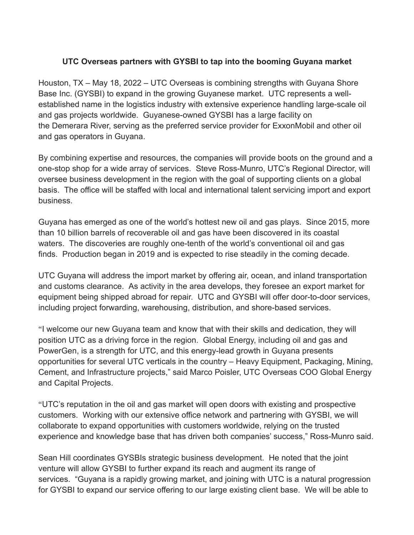## **UTC Overseas partners with GYSBI to tap into the booming Guyana market**

Houston, TX – May 18, 2022 – UTC Overseas is combining strengths with Guyana Shore Base Inc. (GYSBI) to expand in the growing Guyanese market. UTC represents a wellestablished name in the logistics industry with extensive experience handling large-scale oil and gas projects worldwide. Guyanese-owned GYSBI has a large facility on the Demerara River, serving as the preferred service provider for ExxonMobil and other oil and gas operators in Guyana.

By combining expertise and resources, the companies will provide boots on the ground and a one-stop shop for a wide array of services. Steve Ross-Munro, UTC's Regional Director, will oversee business development in the region with the goal of supporting clients on a global basis. The office will be staffed with local and international talent servicing import and export business.

Guyana has emerged as one of the world's hottest new oil and gas plays. Since 2015, more than 10 billion barrels of recoverable oil and gas have been discovered in its coastal waters. The discoveries are roughly one-tenth of the world's conventional oil and gas finds. Production began in 2019 and is expected to rise steadily in the coming decade.

UTC Guyana will address the import market by offering air, ocean, and inland transportation and customs clearance. As activity in the area develops, they foresee an export market for equipment being shipped abroad for repair. UTC and GYSBI will offer door-to-door services, including project forwarding, warehousing, distribution, and shore-based services.

"I welcome our new Guyana team and know that with their skills and dedication, they will position UTC as a driving force in the region. Global Energy, including oil and gas and PowerGen, is a strength for UTC, and this energy-lead growth in Guyana presents opportunities for several UTC verticals in the country – Heavy Equipment, Packaging, Mining, Cement, and Infrastructure projects," said Marco Poisler, UTC Overseas COO Global Energy and Capital Projects.

"UTC's reputation in the oil and gas market will open doors with existing and prospective customers. Working with our extensive office network and partnering with GYSBI, we will collaborate to expand opportunities with customers worldwide, relying on the trusted experience and knowledge base that has driven both companies' success," Ross-Munro said.

Sean Hill coordinates GYSBIs strategic business development. He noted that the joint venture will allow GYSBI to further expand its reach and augment its range of services. "Guyana is a rapidly growing market, and joining with UTC is a natural progression for GYSBI to expand our service offering to our large existing client base. We will be able to